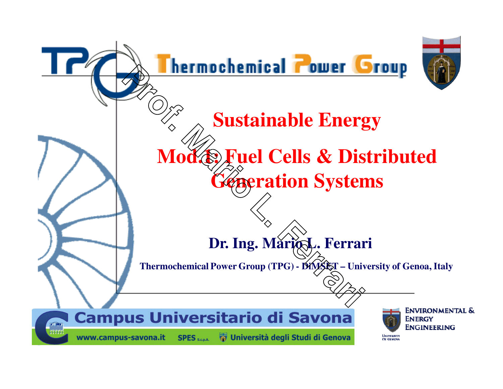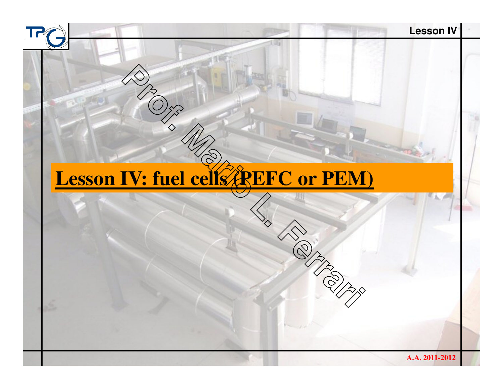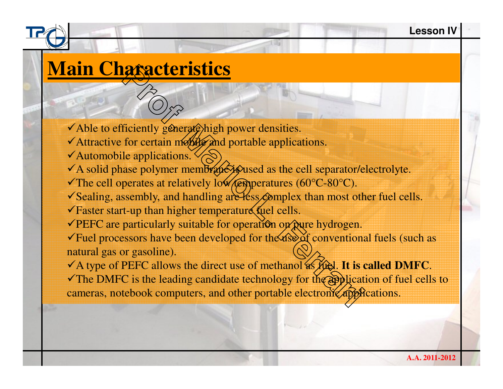## **Main Characteristics**

 $\checkmark$  Able to efficiently generate high power densities.

- ◆ Attractive for certain mobile and portable applications.
- $\checkmark$  Automobile applications.
- $\checkmark$  A solid phase polymer membrane is used as the cell separator/electrolyte.
- The cell operates at relatively low  $\sqrt{\epsilon}$  per atures (60°C-80°C).
- $\checkmark$  Sealing, assembly, and handling are less  $\hatcirc$  mplex than most other fuel cells.
- $\checkmark$  Faster start-up than higher temperature fuel cells.
- $\sqrt{\text{PEFC}}$  are particularly suitable for operation on pure hydrogen.

**Professor Controlleristics**<br>
Ficiently generate high power densities.<br>
for certain months and portable applications.<br>
Le applications.<br>
Le applications.<br>
Les polymer membranes and portable applications.<br>
ase polymer membr  $\checkmark$  Fuel processors have been developed for the use of conventional fuels (such as natural gas or gasoline).

A type of PEFC allows the direct use of methanol as fuel. **It is called DMFC**.

The DMFC is the leading candidate technology for the application of fuel cells to cameras, notebook computers, and other portable electronic applications.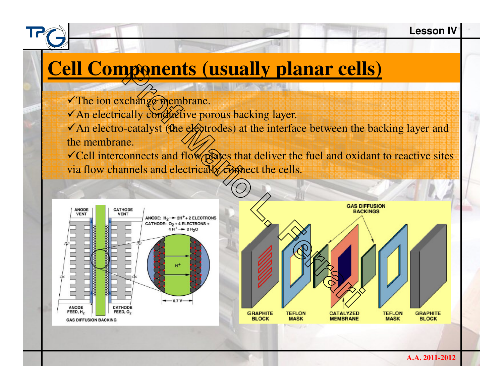## **Cell Components (usually planar cells)**

- The ion exchange membrane.
- $\checkmark$  An electrically conductive porous backing layer.
- $\checkmark$  An electro-catalyst (the electrodes) at the interface between the backing layer and the membrane.
- $\checkmark$  Cell interconnects and flow plates that deliver the fuel and oxidant to reactive sites via flow channels and electrically complect the cells.

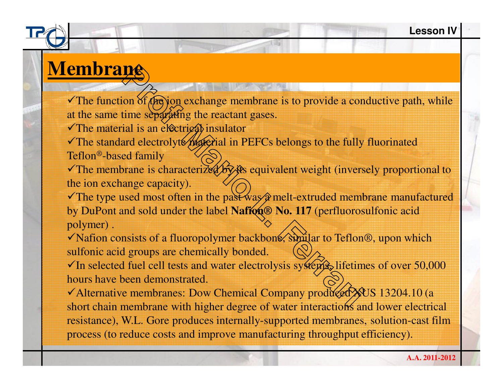## **Membrane**

The function of  $f(x)$   $\phi(x)$  exchange membrane is to provide a conductive path, while at the same time separating the reactant gases.

 $\checkmark$ The material is an electrical insulator

The standard electrolyte material in PEFCs belongs to the fully fluorinated Teflon®-based family

The membrane is characterized by its equivalent weight (inversely proportional to the ion exchange capacity).

**Professor**<br>
on of **(Figs)** exchange membrane is to provide a contime separating the reactant gases.<br>
ial is an electrical insulator<br>
and electrolyte *material* in PEFCs belongs to the fully<br>
ed family<br>
orane is characteri The type used most often in the past was  $\hat{x}$  melt-extruded membrane manufactured by DuPont and sold under the label **Naffon® No. 117** (perfluorosulfonic acid polymer) .

◆ Nafion consists of a fluoropolymer backbone, similar to Teflon<sup>®</sup>, upon which sulfonic acid groups are chemically bonded.

 $\checkmark$ In selected fuel cell tests and water electrolysis systems, lifetimes of over 50,000 hours have been demonstrated.

short chain membrane with higher degree of water interactions and lower electrical √ Alternative membranes: Dow Chemical Company produced XVS 13204.10 (a resistance), W.L. Gore produces internally-supported membranes, solution-cast film process (to reduce costs and improve manufacturing throughput efficiency).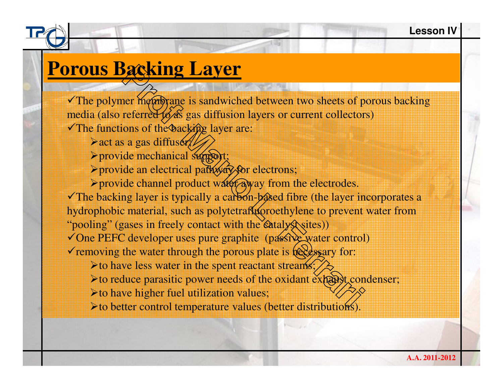### **Porous Backing Layer**

**Packing Layer**<br>
The membrane is sandwiched between two sheets of p<br>
referred goos gas diffusion layers or current collector<br>
ons of the backing layer are:<br>
a gas diffused<br>
de mechanical support:<br>
de an electrical party of  $\checkmark$ The polymer membrane is sandwiched between two sheets of porous backing media (also referred to  $\delta$ s gas diffusion layers or current collectors) The functions of the backing layer are:

- $\triangleright$  act as a gas diffuser;
- > provide mechanical support;
- > provide an electrical pathway for electrons;
- > provide channel product water away from the electrodes.

 $\checkmark$  The backing layer is typically a carbon-based fibre (the layer incorporates a hydrophobic material, such as polytetrafluoroethylene to prevent water from

"pooling" (gases in freely contact with the catalys sites))

- ◆ One PEFC developer uses pure graphite (passive water control)
- $\checkmark$  removing the water through the porous plate is  $\hat{\text{R}}$ essary for:
	- Ito have less water in the spent reactant streams;
	- $\triangleright$  to reduce parasitic power needs of the oxidant exhaust condenser;
	- -to have higher fuel utilization values;

 $\triangleright$  to better control temperature values (better distributions).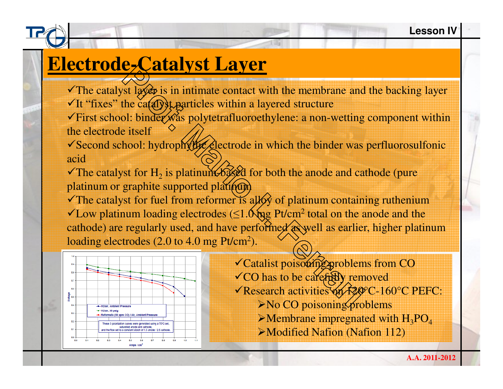# **Electrode-Catalyst Layer**

 $\checkmark$  The catalyst layet is in intimate contact with the membrane and the backing layer  $\checkmark$  It "fixes" the catalyst particles within a layered structure

 $\checkmark$  First school: binder  $\hat{\mathcal{R}}$  as polytetrafluoroethylene: a non-wetting component within the electrode itself

◆ Second school: hydrophyllic electrode in which the binder was perfluorosulfonic acid

The catalyst for  $H_2$  is platinum-based for both the anode and cathode (pure platinum or graphite supported platinum

**Professor** is in intimate contact with the membrane and<br>the categoris is in intimate contact with the membrane and<br>the categoris polytetrafluoroethylene: a non-wetting<br>e itself<br>hool: hydrophyloge electrode in which the bi  $\checkmark$  The catalyst for fuel from reformer is ally of platinum containing ruthenium  $\checkmark$ Low platinum loading electrodes ( $\leq$ 1.0  $\hat{\theta}$  and the anode and the  $\theta$ cathode) are regularly used, and have performed as well as earlier, higher platinum loading electrodes (2.0 to 4.0 mg Pt/cm $^2$ ).



 $\checkmark$ Catalist poisoning problems from CO  $\checkmark$  CO has to be carefully removed Research activities on 120°C-160°C PEFC: $\triangleright$  No CO poisoning problems  $\triangleright$ Membrane impregnated with  $H_3PO_4$ -Modified Nafion (Nafion 112)

**A.A. 2011-2012**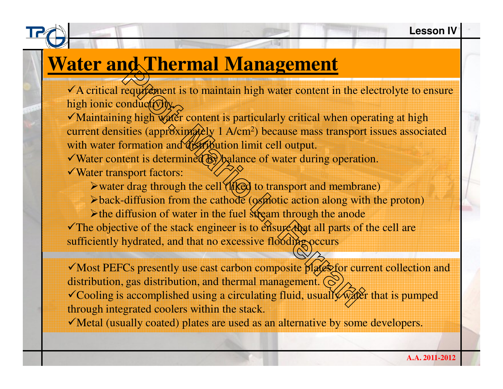## **Water and Thermal Management**

 $\checkmark$  A critical requirement is to maintain high water content in the electrolyte to ensure high ionic conductivity.

 $\checkmark$  Maintaining high water content is particularly critical when operating at high current densities (approximately 1 A/cm<sup>2</sup>) because mass transport issues associated with water formation and distribution limit cell output.

 $\checkmark$  Water content is determined by balance of water during operation. Water transport factors:

> water drag through the cell (liked to transport and membrane)

>back-diffusion from the cathode (osmotic action along with the proton)

 $\triangleright$  the diffusion of water in the fuel stream through the anode The objective of the stack engineer is to enauple that all parts of the cell are sufficiently hydrated, and that no excessive flooding occurs

**Profession** IT **THET INTERNATE INTERNATE CONTROLLER**<br>
Properties to maintain high water content in the e<br>
onductOby<br>
mg high water content is particularly critical when ope<br>
it is determined and distribution limit cell ou Most PEFCs presently use cast carbon composite plates for current collection and distribution, gas distribution, and thermal management.  $\circledcirc$  $\checkmark$  Cooling is accomplished using a circulating fluid, usually water that is pumped through integrated coolers within the stack.

Metal (usually coated) plates are used as an alternative by some developers.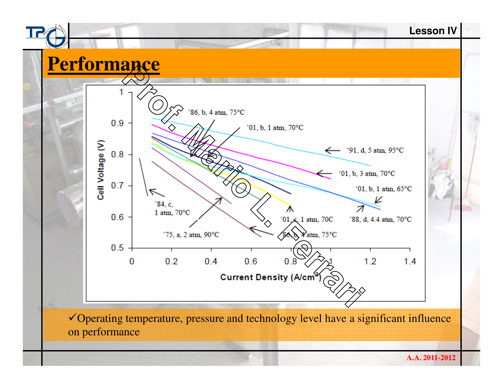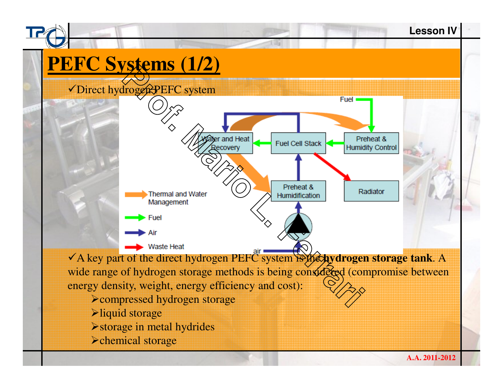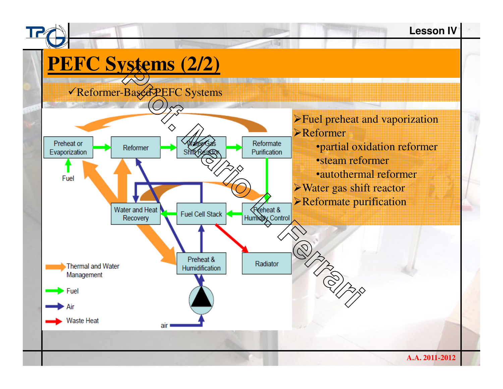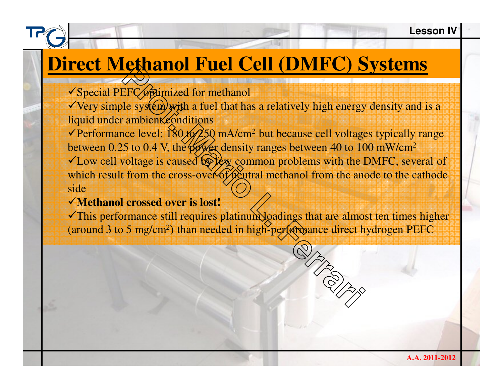# **Direct Methanol Fuel Cell (DMFC) Systems**

√Special PEFC *o*ptimized for methanol

 $\sqrt{V}$  Very simple system with a fuel that has a relatively high energy density and is a liquid under ambient conditions

**Professional Profession**<br> **Professional Maritage Street Constrained Strength Constrained Strength and file system) with a fuel that has a relatively high energy ambient conditions<br>
ambient conditions<br>
the proper density r** Performance level:  $\frac{180}{6}$  to  $\frac{250}{10}$  mA/cm<sup>2</sup> but because cell voltages typically range between 0.25 to 0.4 V, the power density ranges between 40 to 100 mW/cm<sup>2</sup>  $\checkmark$  Low cell voltage is caused by  $f$   $\checkmark$  common problems with the DMFC, several of which result from the cross-over of peutral methanol from the anode to the cathode side

### **Methanol crossed over is lost!**

 $\checkmark$ This performance still requires platinum loadings that are almost ten times higher (around 3 to 5 mg/cm<sup>2</sup>) than needed in high-performance direct hydrogen PEFC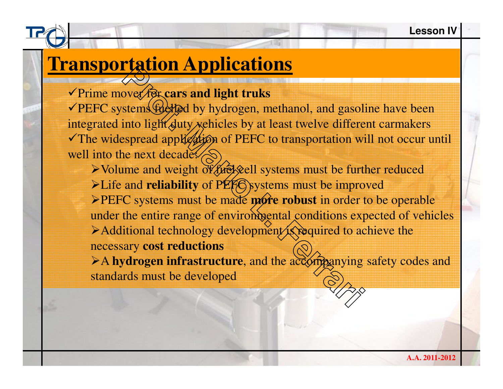# **Transportation Applications**

Prime mover for **cars and light truks**

**PEFC** systems fuelled by hydrogen, methanol, and gasoline have been integrated into light duty vehicles by at least twelve different carmakers The widespread application of PEFC to transportation will not occur until well into the next decade:

**Professor**<br>
External and light truks<br>
stems that duty vehicles by at least twelve differed<br>
stems that duty vehicles by at least twelve differed<br>
spread application of PEFC to transportation wive<br>
ne next decades<br>  $\otimes$ <br> > Volume and weight of *fuel* ell systems must be further reduced >Life and **reliability** of PEF<sub>C</sub> systems must be improved **>PEFC** systems must be made **more robust** in order to be operable under the entire range of envirom entity conditions expected of vehicles Additional technology development is required to achieve the necessary **cost reductions**

>A hydrogen infrastructure, and the accompanying safety codes and standards must be developed